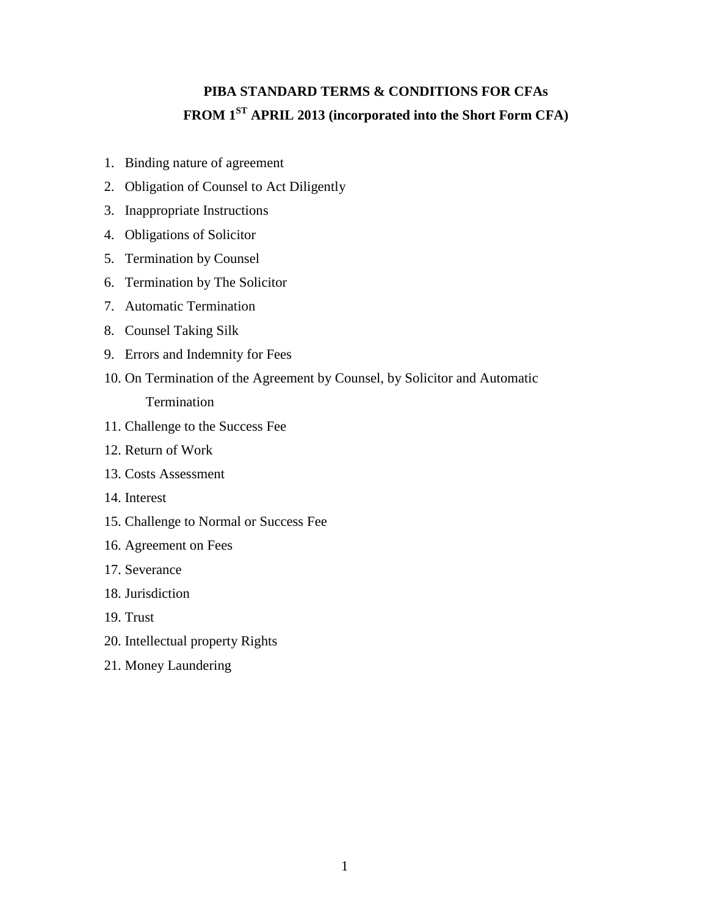# **PIBA STANDARD TERMS & CONDITIONS FOR CFAs FROM 1ST APRIL 2013 (incorporated into the Short Form CFA)**

- 1. Binding nature of agreement
- 2. Obligation of Counsel to Act Diligently
- 3. Inappropriate Instructions
- 4. Obligations of Solicitor
- 5. Termination by Counsel
- 6. Termination by The Solicitor
- 7. Automatic Termination
- 8. Counsel Taking Silk
- 9. Errors and Indemnity for Fees
- 10. On Termination of the Agreement by Counsel, by Solicitor and Automatic **Termination**
- 11. Challenge to the Success Fee
- 12. Return of Work
- 13. Costs Assessment
- 14. Interest
- 15. Challenge to Normal or Success Fee
- 16. Agreement on Fees
- 17. Severance
- 18. Jurisdiction
- 19. Trust
- 20. Intellectual property Rights
- 21. Money Laundering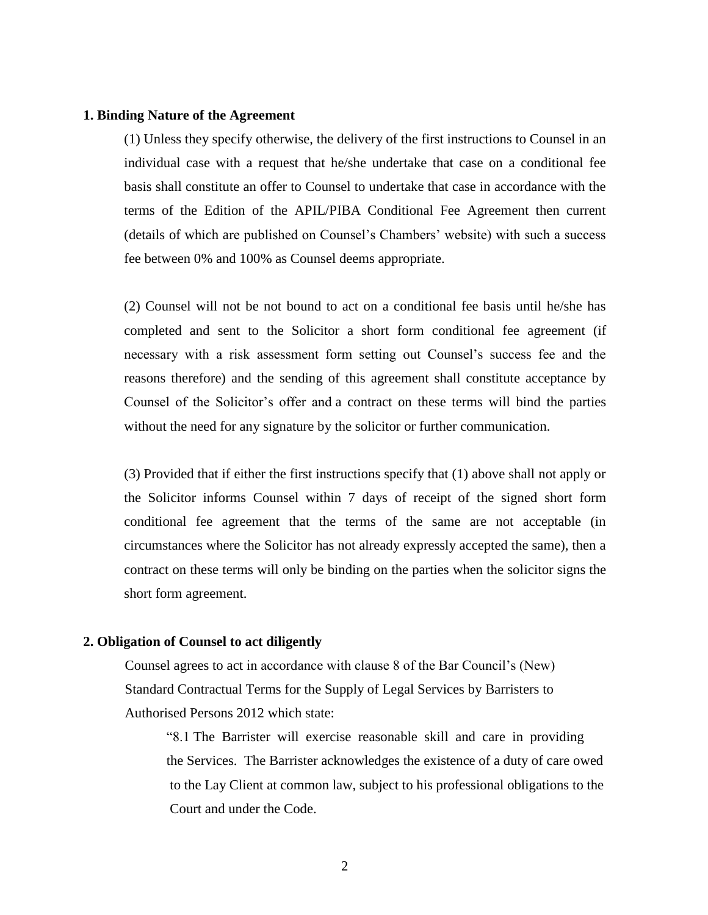#### **1. Binding Nature of the Agreement**

(1) Unless they specify otherwise, the delivery of the first instructions to Counsel in an individual case with a request that he/she undertake that case on a conditional fee basis shall constitute an offer to Counsel to undertake that case in accordance with the terms of the Edition of the APIL/PIBA Conditional Fee Agreement then current (details of which are published on Counsel's Chambers' website) with such a success fee between 0% and 100% as Counsel deems appropriate.

(2) Counsel will not be not bound to act on a conditional fee basis until he/she has completed and sent to the Solicitor a short form conditional fee agreement (if necessary with a risk assessment form setting out Counsel's success fee and the reasons therefore) and the sending of this agreement shall constitute acceptance by Counsel of the Solicitor's offer and a contract on these terms will bind the parties without the need for any signature by the solicitor or further communication.

(3) Provided that if either the first instructions specify that (1) above shall not apply or the Solicitor informs Counsel within 7 days of receipt of the signed short form conditional fee agreement that the terms of the same are not acceptable (in circumstances where the Solicitor has not already expressly accepted the same), then a contract on these terms will only be binding on the parties when the solicitor signs the short form agreement.

# **2. Obligation of Counsel to act diligently**

Counsel agrees to act in accordance with clause 8 of the Bar Council's (New) Standard Contractual Terms for the Supply of Legal Services by Barristers to Authorised Persons 2012 which state:

"8.1 The Barrister will exercise reasonable skill and care in providing the Services. The Barrister acknowledges the existence of a duty of care owed to the Lay Client at common law, subject to his professional obligations to the Court and under the Code.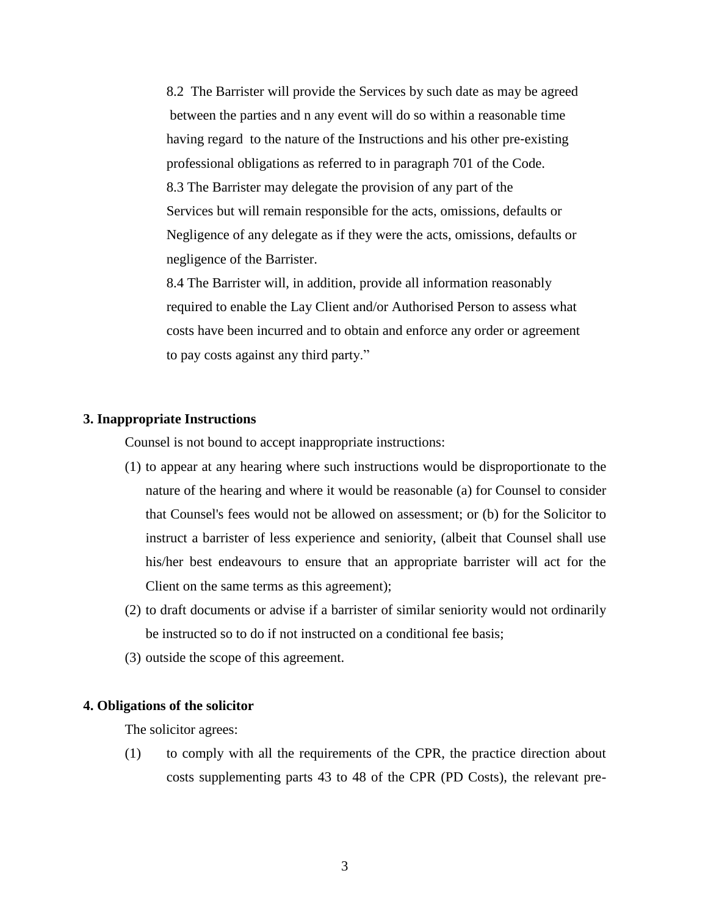8.2 The Barrister will provide the Services by such date as may be agreed between the parties and n any event will do so within a reasonable time having regard to the nature of the Instructions and his other pre‐existing professional obligations as referred to in paragraph 701 of the Code. 8.3 The Barrister may delegate the provision of any part of the Services but will remain responsible for the acts, omissions, defaults or Negligence of any delegate as if they were the acts, omissions, defaults or negligence of the Barrister.

8.4 The Barrister will, in addition, provide all information reasonably required to enable the Lay Client and/or Authorised Person to assess what costs have been incurred and to obtain and enforce any order or agreement to pay costs against any third party."

#### **3. Inappropriate Instructions**

Counsel is not bound to accept inappropriate instructions:

- (1) to appear at any hearing where such instructions would be disproportionate to the nature of the hearing and where it would be reasonable (a) for Counsel to consider that Counsel's fees would not be allowed on assessment; or (b) for the Solicitor to instruct a barrister of less experience and seniority, (albeit that Counsel shall use his/her best endeavours to ensure that an appropriate barrister will act for the Client on the same terms as this agreement);
- (2) to draft documents or advise if a barrister of similar seniority would not ordinarily be instructed so to do if not instructed on a conditional fee basis;
- (3) outside the scope of this agreement.

# **4. Obligations of the solicitor**

The solicitor agrees:

(1) to comply with all the requirements of the CPR, the practice direction about costs supplementing parts 43 to 48 of the CPR (PD Costs), the relevant pre-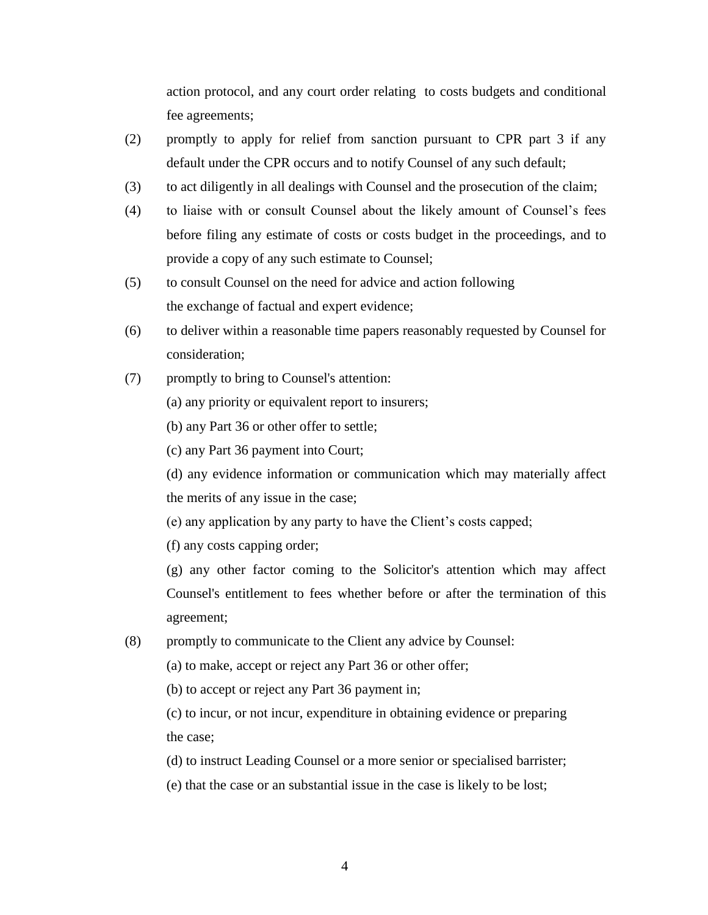action protocol, and any court order relating to costs budgets and conditional fee agreements;

- (2) promptly to apply for relief from sanction pursuant to CPR part 3 if any default under the CPR occurs and to notify Counsel of any such default;
- (3) to act diligently in all dealings with Counsel and the prosecution of the claim;
- (4) to liaise with or consult Counsel about the likely amount of Counsel's fees before filing any estimate of costs or costs budget in the proceedings, and to provide a copy of any such estimate to Counsel;
- (5) to consult Counsel on the need for advice and action following the exchange of factual and expert evidence;
- (6) to deliver within a reasonable time papers reasonably requested by Counsel for consideration;
- (7) promptly to bring to Counsel's attention:

(a) any priority or equivalent report to insurers;

(b) any Part 36 or other offer to settle;

(c) any Part 36 payment into Court;

(d) any evidence information or communication which may materially affect the merits of any issue in the case;

(e) any application by any party to have the Client's costs capped;

(f) any costs capping order;

(g) any other factor coming to the Solicitor's attention which may affect Counsel's entitlement to fees whether before or after the termination of this agreement;

(8) promptly to communicate to the Client any advice by Counsel:

(a) to make, accept or reject any Part 36 or other offer;

(b) to accept or reject any Part 36 payment in;

(c) to incur, or not incur, expenditure in obtaining evidence or preparing the case;

(d) to instruct Leading Counsel or a more senior or specialised barrister;

(e) that the case or an substantial issue in the case is likely to be lost;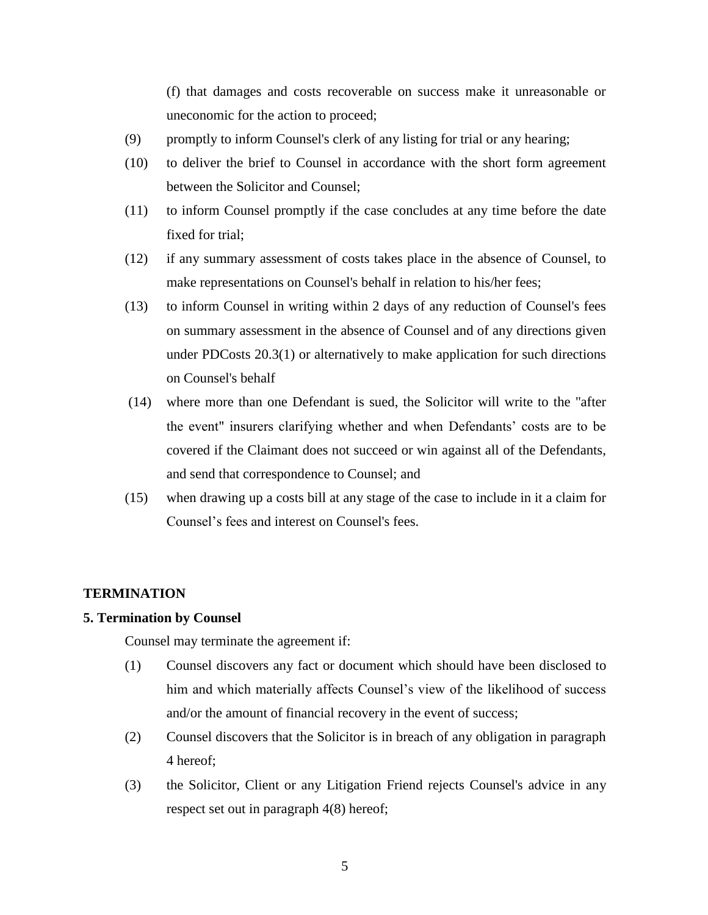(f) that damages and costs recoverable on success make it unreasonable or uneconomic for the action to proceed;

- (9) promptly to inform Counsel's clerk of any listing for trial or any hearing;
- (10) to deliver the brief to Counsel in accordance with the short form agreement between the Solicitor and Counsel;
- (11) to inform Counsel promptly if the case concludes at any time before the date fixed for trial;
- (12) if any summary assessment of costs takes place in the absence of Counsel, to make representations on Counsel's behalf in relation to his/her fees;
- (13) to inform Counsel in writing within 2 days of any reduction of Counsel's fees on summary assessment in the absence of Counsel and of any directions given under PDCosts 20.3(1) or alternatively to make application for such directions on Counsel's behalf
- (14) where more than one Defendant is sued, the Solicitor will write to the "after the event" insurers clarifying whether and when Defendants' costs are to be covered if the Claimant does not succeed or win against all of the Defendants, and send that correspondence to Counsel; and
- (15) when drawing up a costs bill at any stage of the case to include in it a claim for Counsel's fees and interest on Counsel's fees.

# **TERMINATION**

#### **5. Termination by Counsel**

Counsel may terminate the agreement if:

- (1) Counsel discovers any fact or document which should have been disclosed to him and which materially affects Counsel's view of the likelihood of success and/or the amount of financial recovery in the event of success;
- (2) Counsel discovers that the Solicitor is in breach of any obligation in paragraph 4 hereof;
- (3) the Solicitor, Client or any Litigation Friend rejects Counsel's advice in any respect set out in paragraph 4(8) hereof;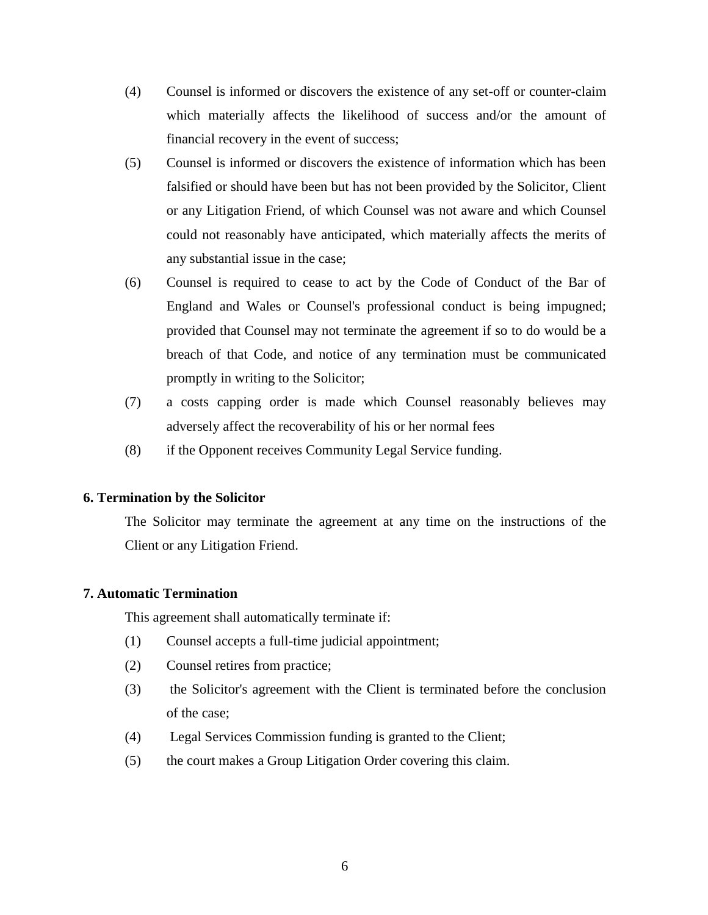- (4) Counsel is informed or discovers the existence of any set-off or counter-claim which materially affects the likelihood of success and/or the amount of financial recovery in the event of success;
- (5) Counsel is informed or discovers the existence of information which has been falsified or should have been but has not been provided by the Solicitor, Client or any Litigation Friend, of which Counsel was not aware and which Counsel could not reasonably have anticipated, which materially affects the merits of any substantial issue in the case;
- (6) Counsel is required to cease to act by the Code of Conduct of the Bar of England and Wales or Counsel's professional conduct is being impugned; provided that Counsel may not terminate the agreement if so to do would be a breach of that Code, and notice of any termination must be communicated promptly in writing to the Solicitor;
- (7) a costs capping order is made which Counsel reasonably believes may adversely affect the recoverability of his or her normal fees
- (8) if the Opponent receives Community Legal Service funding.

# **6. Termination by the Solicitor**

The Solicitor may terminate the agreement at any time on the instructions of the Client or any Litigation Friend.

# **7. Automatic Termination**

This agreement shall automatically terminate if:

- (1) Counsel accepts a full-time judicial appointment;
- (2) Counsel retires from practice;
- (3) the Solicitor's agreement with the Client is terminated before the conclusion of the case;
- (4) Legal Services Commission funding is granted to the Client;
- (5) the court makes a Group Litigation Order covering this claim.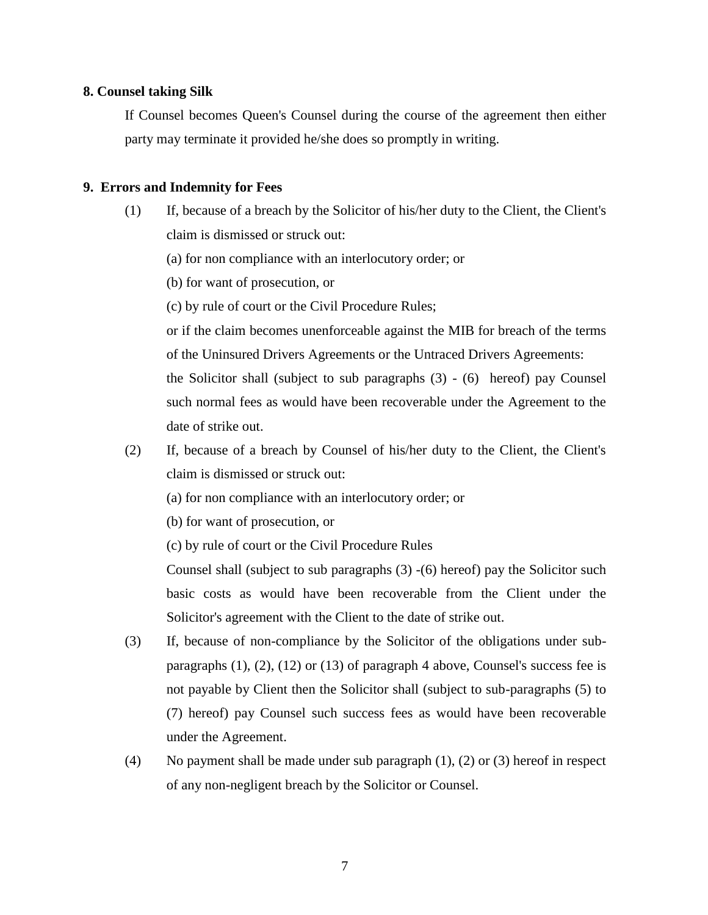#### **8. Counsel taking Silk**

 If Counsel becomes Queen's Counsel during the course of the agreement then either party may terminate it provided he/she does so promptly in writing.

#### **9. Errors and Indemnity for Fees**

- (1) If, because of a breach by the Solicitor of his/her duty to the Client, the Client's claim is dismissed or struck out:
	- (a) for non compliance with an interlocutory order; or
	- (b) for want of prosecution, or
	- (c) by rule of court or the Civil Procedure Rules;

or if the claim becomes unenforceable against the MIB for breach of the terms of the Uninsured Drivers Agreements or the Untraced Drivers Agreements: the Solicitor shall (subject to sub paragraphs (3) - (6) hereof) pay Counsel such normal fees as would have been recoverable under the Agreement to the date of strike out.

- (2) If, because of a breach by Counsel of his/her duty to the Client, the Client's claim is dismissed or struck out:
	- (a) for non compliance with an interlocutory order; or
	- (b) for want of prosecution, or

(c) by rule of court or the Civil Procedure Rules

Counsel shall (subject to sub paragraphs (3) -(6) hereof) pay the Solicitor such basic costs as would have been recoverable from the Client under the Solicitor's agreement with the Client to the date of strike out.

- (3) If, because of non-compliance by the Solicitor of the obligations under subparagraphs  $(1)$ ,  $(2)$ ,  $(12)$  or  $(13)$  of paragraph 4 above, Counsel's success fee is not payable by Client then the Solicitor shall (subject to sub-paragraphs (5) to (7) hereof) pay Counsel such success fees as would have been recoverable under the Agreement.
- (4) No payment shall be made under sub paragraph (1), (2) or (3) hereof in respect of any non-negligent breach by the Solicitor or Counsel.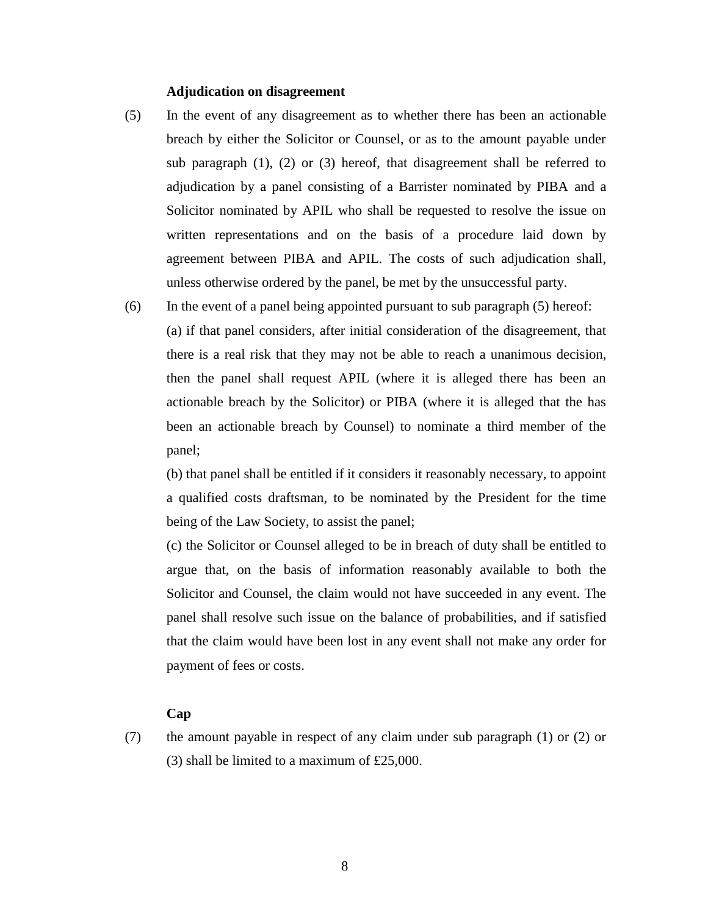#### **Adjudication on disagreement**

- (5) In the event of any disagreement as to whether there has been an actionable breach by either the Solicitor or Counsel, or as to the amount payable under sub paragraph  $(1)$ ,  $(2)$  or  $(3)$  hereof, that disagreement shall be referred to adjudication by a panel consisting of a Barrister nominated by PIBA and a Solicitor nominated by APIL who shall be requested to resolve the issue on written representations and on the basis of a procedure laid down by agreement between PIBA and APIL. The costs of such adjudication shall, unless otherwise ordered by the panel, be met by the unsuccessful party.
- (6) In the event of a panel being appointed pursuant to sub paragraph (5) hereof: (a) if that panel considers, after initial consideration of the disagreement, that there is a real risk that they may not be able to reach a unanimous decision, then the panel shall request APIL (where it is alleged there has been an actionable breach by the Solicitor) or PIBA (where it is alleged that the has been an actionable breach by Counsel) to nominate a third member of the panel;

(b) that panel shall be entitled if it considers it reasonably necessary, to appoint a qualified costs draftsman, to be nominated by the President for the time being of the Law Society, to assist the panel;

(c) the Solicitor or Counsel alleged to be in breach of duty shall be entitled to argue that, on the basis of information reasonably available to both the Solicitor and Counsel, the claim would not have succeeded in any event. The panel shall resolve such issue on the balance of probabilities, and if satisfied that the claim would have been lost in any event shall not make any order for payment of fees or costs.

#### **Cap**

(7) the amount payable in respect of any claim under sub paragraph (1) or (2) or (3) shall be limited to a maximum of £25,000.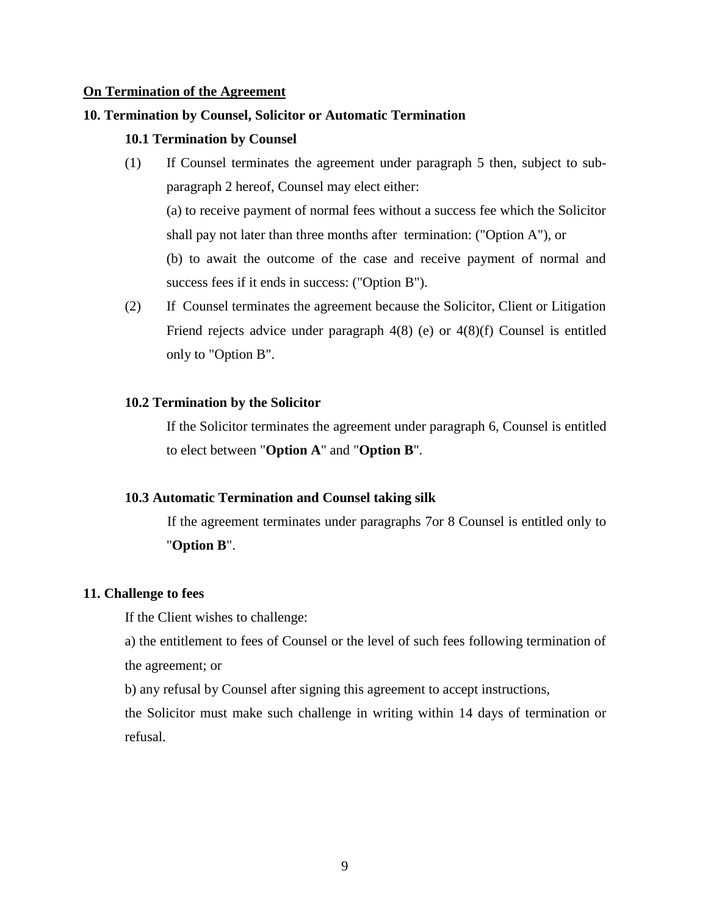#### **On Termination of the Agreement**

#### **10. Termination by Counsel, Solicitor or Automatic Termination**

# **10.1 Termination by Counsel**

- (1) If Counsel terminates the agreement under paragraph 5 then, subject to subparagraph 2 hereof, Counsel may elect either: (a) to receive payment of normal fees without a success fee which the Solicitor shall pay not later than three months after termination: ("Option A"), or (b) to await the outcome of the case and receive payment of normal and success fees if it ends in success: ("Option B").
- (2) If Counsel terminates the agreement because the Solicitor, Client or Litigation Friend rejects advice under paragraph 4(8) (e) or 4(8)(f) Counsel is entitled only to "Option B".

#### **10.2 Termination by the Solicitor**

If the Solicitor terminates the agreement under paragraph 6, Counsel is entitled to elect between "**Option A**" and "**Option B**".

#### **10.3 Automatic Termination and Counsel taking silk**

If the agreement terminates under paragraphs 7or 8 Counsel is entitled only to "**Option B**".

#### **11. Challenge to fees**

If the Client wishes to challenge:

a) the entitlement to fees of Counsel or the level of such fees following termination of the agreement; or

b) any refusal by Counsel after signing this agreement to accept instructions,

the Solicitor must make such challenge in writing within 14 days of termination or refusal.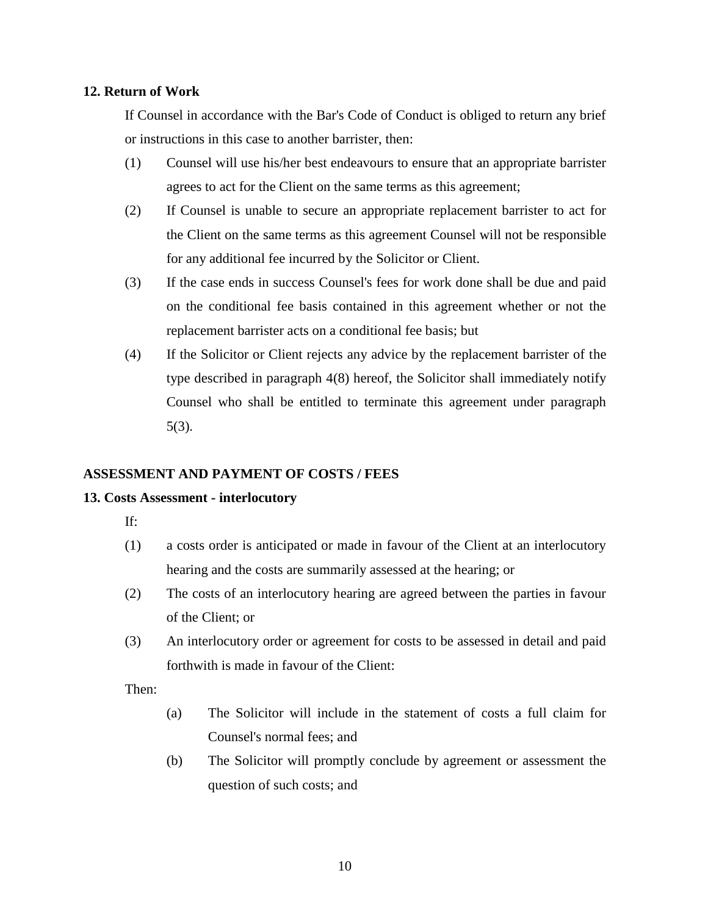# **12. Return of Work**

If Counsel in accordance with the Bar's Code of Conduct is obliged to return any brief or instructions in this case to another barrister, then:

- (1) Counsel will use his/her best endeavours to ensure that an appropriate barrister agrees to act for the Client on the same terms as this agreement;
- (2) If Counsel is unable to secure an appropriate replacement barrister to act for the Client on the same terms as this agreement Counsel will not be responsible for any additional fee incurred by the Solicitor or Client.
- (3) If the case ends in success Counsel's fees for work done shall be due and paid on the conditional fee basis contained in this agreement whether or not the replacement barrister acts on a conditional fee basis; but
- (4) If the Solicitor or Client rejects any advice by the replacement barrister of the type described in paragraph 4(8) hereof, the Solicitor shall immediately notify Counsel who shall be entitled to terminate this agreement under paragraph 5(3).

# **ASSESSMENT AND PAYMENT OF COSTS / FEES**

#### **13. Costs Assessment - interlocutory**

- If:
- (1) a costs order is anticipated or made in favour of the Client at an interlocutory hearing and the costs are summarily assessed at the hearing; or
- (2) The costs of an interlocutory hearing are agreed between the parties in favour of the Client; or
- (3) An interlocutory order or agreement for costs to be assessed in detail and paid forthwith is made in favour of the Client:

Then:

- (a) The Solicitor will include in the statement of costs a full claim for Counsel's normal fees; and
- (b) The Solicitor will promptly conclude by agreement or assessment the question of such costs; and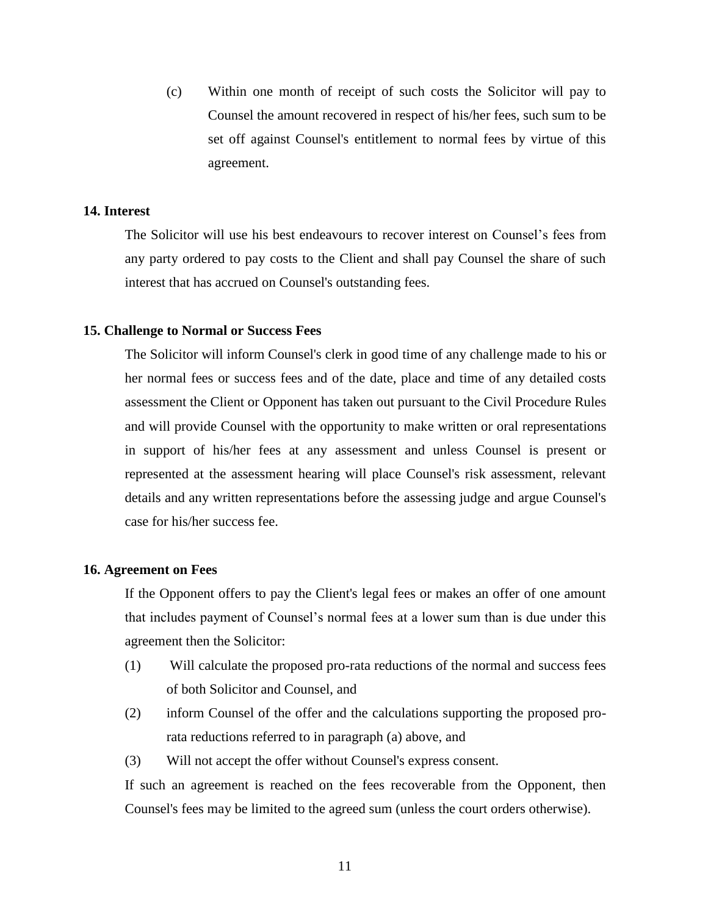(c) Within one month of receipt of such costs the Solicitor will pay to Counsel the amount recovered in respect of his/her fees, such sum to be set off against Counsel's entitlement to normal fees by virtue of this agreement.

# **14. Interest**

The Solicitor will use his best endeavours to recover interest on Counsel's fees from any party ordered to pay costs to the Client and shall pay Counsel the share of such interest that has accrued on Counsel's outstanding fees.

#### **15. Challenge to Normal or Success Fees**

The Solicitor will inform Counsel's clerk in good time of any challenge made to his or her normal fees or success fees and of the date, place and time of any detailed costs assessment the Client or Opponent has taken out pursuant to the Civil Procedure Rules and will provide Counsel with the opportunity to make written or oral representations in support of his/her fees at any assessment and unless Counsel is present or represented at the assessment hearing will place Counsel's risk assessment, relevant details and any written representations before the assessing judge and argue Counsel's case for his/her success fee.

#### **16. Agreement on Fees**

If the Opponent offers to pay the Client's legal fees or makes an offer of one amount that includes payment of Counsel's normal fees at a lower sum than is due under this agreement then the Solicitor:

- (1) Will calculate the proposed pro-rata reductions of the normal and success fees of both Solicitor and Counsel, and
- (2) inform Counsel of the offer and the calculations supporting the proposed prorata reductions referred to in paragraph (a) above, and
- (3) Will not accept the offer without Counsel's express consent.

If such an agreement is reached on the fees recoverable from the Opponent, then Counsel's fees may be limited to the agreed sum (unless the court orders otherwise).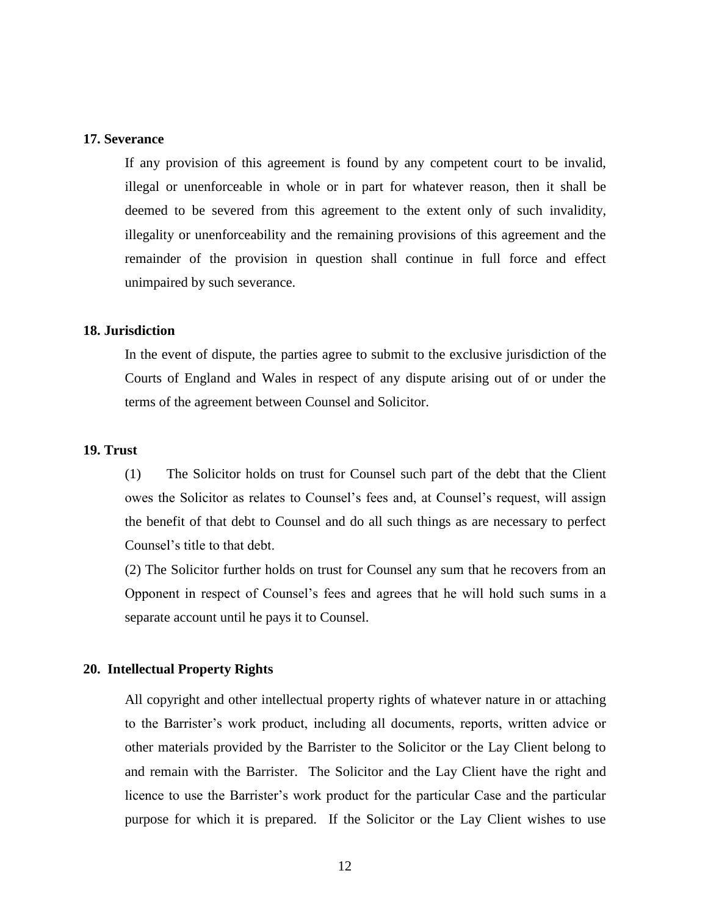# **17. Severance**

If any provision of this agreement is found by any competent court to be invalid, illegal or unenforceable in whole or in part for whatever reason, then it shall be deemed to be severed from this agreement to the extent only of such invalidity, illegality or unenforceability and the remaining provisions of this agreement and the remainder of the provision in question shall continue in full force and effect unimpaired by such severance.

# **18. Jurisdiction**

In the event of dispute, the parties agree to submit to the exclusive jurisdiction of the Courts of England and Wales in respect of any dispute arising out of or under the terms of the agreement between Counsel and Solicitor.

#### **19. Trust**

(1) The Solicitor holds on trust for Counsel such part of the debt that the Client owes the Solicitor as relates to Counsel's fees and, at Counsel's request, will assign the benefit of that debt to Counsel and do all such things as are necessary to perfect Counsel's title to that debt.

(2) The Solicitor further holds on trust for Counsel any sum that he recovers from an Opponent in respect of Counsel's fees and agrees that he will hold such sums in a separate account until he pays it to Counsel.

#### **20. Intellectual Property Rights**

All copyright and other intellectual property rights of whatever nature in or attaching to the Barrister's work product, including all documents, reports, written advice or other materials provided by the Barrister to the Solicitor or the Lay Client belong to and remain with the Barrister. The Solicitor and the Lay Client have the right and licence to use the Barrister's work product for the particular Case and the particular purpose for which it is prepared. If the Solicitor or the Lay Client wishes to use